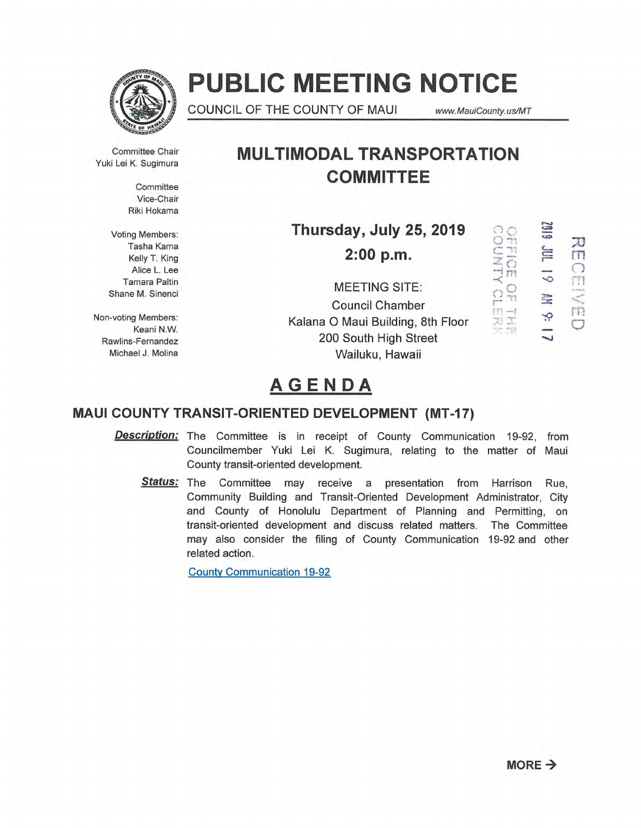

# **PUBLIC MEETING NOTICE**

COUNCIL OF THE COUNTY OF MAUI www.MauiCounty.us/MT

Committee Chair Yuki Lei K. Sugimura

> **Committee** Vice-Chair Riki Hokama

Voting Members: Tasha Kama Kelly T. King Alice L. Lee Tamara Paltin Shane M. Sinenci

Non-voting Members: Keani N.W. Rawlins-Fernandez Michael J. Molina

## **MULTIMODAL TRANSPORTATION COMMITTEE**

**Thursday, July 25, 2019** 

**2:00 p.m.** 

MEETING SITE: Council Chamber Kalana 0 Maui Building, 8th Floor 200 South High Street Wailuku, Hawaii

6 I O Z  $\overline{6}$ ÷,

 $rac{1}{\overline{O}}$ 

m  $\Omega_{\rm n}^{\rm O}$ 

-<br>肉丈<br>スポ

 $\frac{1}{5}$ 

OBVED

# **AGENDA**

### **MAUI COUNTY TRANSIT-ORIENTED DEVELOPMENT (MT-17)**

**Description:** The Committee is in receipt of County Communication 19-92, from Councilmember Yuki Lei K. Sugimura, relating to the matter of Maui County transit-oriented development.

Status: The Committee may receive a presentation from Harrison Rue, Community Building and Transit-Oriented Development Administrator, City and County of Honolulu Department of Planning and Permitting, on transit-oriented development and discuss related matters. The Committee may also consider the filing of County Communication 19-92 and other related action.

County Communication 19-92